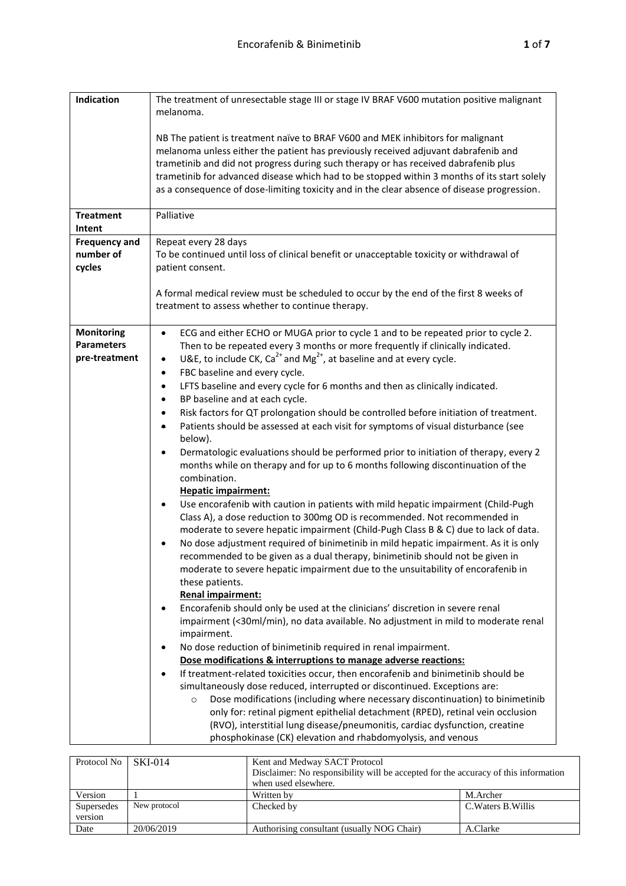| Indication                 | The treatment of unresectable stage III or stage IV BRAF V600 mutation positive malignant                                                                                                                                                                                                                                                                                                                                                                  |
|----------------------------|------------------------------------------------------------------------------------------------------------------------------------------------------------------------------------------------------------------------------------------------------------------------------------------------------------------------------------------------------------------------------------------------------------------------------------------------------------|
|                            | melanoma.                                                                                                                                                                                                                                                                                                                                                                                                                                                  |
|                            | NB The patient is treatment naïve to BRAF V600 and MEK inhibitors for malignant<br>melanoma unless either the patient has previously received adjuvant dabrafenib and<br>trametinib and did not progress during such therapy or has received dabrafenib plus<br>trametinib for advanced disease which had to be stopped within 3 months of its start solely<br>as a consequence of dose-limiting toxicity and in the clear absence of disease progression. |
| <b>Treatment</b><br>Intent | Palliative                                                                                                                                                                                                                                                                                                                                                                                                                                                 |
| <b>Frequency and</b>       | Repeat every 28 days                                                                                                                                                                                                                                                                                                                                                                                                                                       |
| number of                  | To be continued until loss of clinical benefit or unacceptable toxicity or withdrawal of                                                                                                                                                                                                                                                                                                                                                                   |
| cycles                     | patient consent.                                                                                                                                                                                                                                                                                                                                                                                                                                           |
|                            | A formal medical review must be scheduled to occur by the end of the first 8 weeks of<br>treatment to assess whether to continue therapy.                                                                                                                                                                                                                                                                                                                  |
| <b>Monitoring</b>          | ECG and either ECHO or MUGA prior to cycle 1 and to be repeated prior to cycle 2.<br>$\bullet$                                                                                                                                                                                                                                                                                                                                                             |
| <b>Parameters</b>          | Then to be repeated every 3 months or more frequently if clinically indicated.                                                                                                                                                                                                                                                                                                                                                                             |
| pre-treatment              | U&E, to include CK, Ca <sup>2+</sup> and Mg <sup>2+</sup> , at baseline and at every cycle.<br>$\bullet$                                                                                                                                                                                                                                                                                                                                                   |
|                            | FBC baseline and every cycle.<br>$\bullet$                                                                                                                                                                                                                                                                                                                                                                                                                 |
|                            | LFTS baseline and every cycle for 6 months and then as clinically indicated.<br>$\bullet$                                                                                                                                                                                                                                                                                                                                                                  |
|                            | BP baseline and at each cycle.<br>$\bullet$                                                                                                                                                                                                                                                                                                                                                                                                                |
|                            | Risk factors for QT prolongation should be controlled before initiation of treatment.<br>$\bullet$                                                                                                                                                                                                                                                                                                                                                         |
|                            | Patients should be assessed at each visit for symptoms of visual disturbance (see<br>below).                                                                                                                                                                                                                                                                                                                                                               |
|                            | Dermatologic evaluations should be performed prior to initiation of therapy, every 2<br>$\bullet$<br>months while on therapy and for up to 6 months following discontinuation of the<br>combination.                                                                                                                                                                                                                                                       |
|                            | <b>Hepatic impairment:</b>                                                                                                                                                                                                                                                                                                                                                                                                                                 |
|                            | Use encorafenib with caution in patients with mild hepatic impairment (Child-Pugh<br>$\bullet$<br>Class A), a dose reduction to 300mg OD is recommended. Not recommended in<br>moderate to severe hepatic impairment (Child-Pugh Class B & C) due to lack of data.                                                                                                                                                                                         |
|                            | No dose adjustment required of binimetinib in mild hepatic impairment. As it is only<br>$\bullet$<br>recommended to be given as a dual therapy, binimetinib should not be given in<br>moderate to severe hepatic impairment due to the unsuitability of encorafenib in<br>these patients.                                                                                                                                                                  |
|                            | Renal impairment:                                                                                                                                                                                                                                                                                                                                                                                                                                          |
|                            | Encorafenib should only be used at the clinicians' discretion in severe renal<br>٠                                                                                                                                                                                                                                                                                                                                                                         |
|                            | impairment (<30ml/min), no data available. No adjustment in mild to moderate renal<br>impairment.                                                                                                                                                                                                                                                                                                                                                          |
|                            | No dose reduction of binimetinib required in renal impairment.<br>٠                                                                                                                                                                                                                                                                                                                                                                                        |
|                            | Dose modifications & interruptions to manage adverse reactions:                                                                                                                                                                                                                                                                                                                                                                                            |
|                            | If treatment-related toxicities occur, then encorafenib and binimetinib should be<br>$\bullet$                                                                                                                                                                                                                                                                                                                                                             |
|                            | simultaneously dose reduced, interrupted or discontinued. Exceptions are:                                                                                                                                                                                                                                                                                                                                                                                  |
|                            | Dose modifications (including where necessary discontinuation) to binimetinib<br>$\circ$                                                                                                                                                                                                                                                                                                                                                                   |
|                            | only for: retinal pigment epithelial detachment (RPED), retinal vein occlusion                                                                                                                                                                                                                                                                                                                                                                             |
|                            | (RVO), interstitial lung disease/pneumonitis, cardiac dysfunction, creatine                                                                                                                                                                                                                                                                                                                                                                                |
|                            | phosphokinase (CK) elevation and rhabdomyolysis, and venous                                                                                                                                                                                                                                                                                                                                                                                                |

| Protocol No | SKI-014      | Kent and Medway SACT Protocol<br>Disclaimer: No responsibility will be accepted for the accuracy of this information<br>when used elsewhere. |                     |
|-------------|--------------|----------------------------------------------------------------------------------------------------------------------------------------------|---------------------|
| Version     |              | Written by                                                                                                                                   | M.Archer            |
| Supersedes  | New protocol | Checked by                                                                                                                                   | C. Waters B. Willis |
| version     |              |                                                                                                                                              |                     |
| Date        | 20/06/2019   | Authorising consultant (usually NOG Chair)                                                                                                   | A.Clarke            |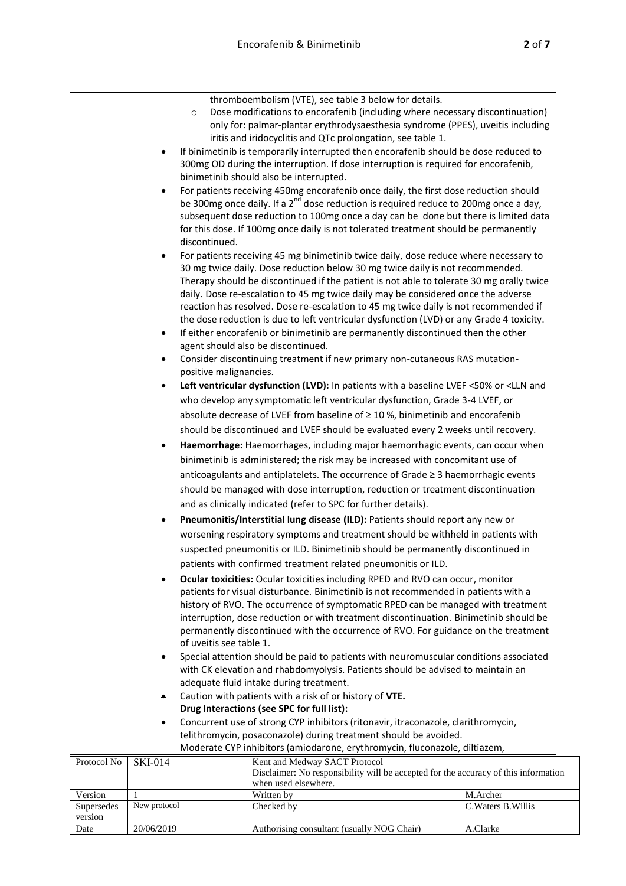|                                                                            |              | $\circ$<br>discontinued.<br>$\bullet$<br>٠<br>positive malignancies.<br>٠<br>of uveitis see table 1.<br>$\bullet$ | thromboembolism (VTE), see table 3 below for details.<br>Dose modifications to encorafenib (including where necessary discontinuation)<br>only for: palmar-plantar erythrodysaesthesia syndrome (PPES), uveitis including<br>iritis and iridocyclitis and QTc prolongation, see table 1.<br>If binimetinib is temporarily interrupted then encorafenib should be dose reduced to<br>300mg OD during the interruption. If dose interruption is required for encorafenib,<br>binimetinib should also be interrupted.<br>For patients receiving 450mg encorafenib once daily, the first dose reduction should<br>be 300mg once daily. If a 2 <sup>nd</sup> dose reduction is required reduce to 200mg once a day,<br>subsequent dose reduction to 100mg once a day can be done but there is limited data<br>for this dose. If 100mg once daily is not tolerated treatment should be permanently<br>For patients receiving 45 mg binimetinib twice daily, dose reduce where necessary to<br>30 mg twice daily. Dose reduction below 30 mg twice daily is not recommended.<br>Therapy should be discontinued if the patient is not able to tolerate 30 mg orally twice<br>daily. Dose re-escalation to 45 mg twice daily may be considered once the adverse<br>reaction has resolved. Dose re-escalation to 45 mg twice daily is not recommended if<br>the dose reduction is due to left ventricular dysfunction (LVD) or any Grade 4 toxicity.<br>If either encorafenib or binimetinib are permanently discontinued then the other<br>agent should also be discontinued.<br>Consider discontinuing treatment if new primary non-cutaneous RAS mutation-<br>Left ventricular dysfunction (LVD): In patients with a baseline LVEF <50% or <lln and<br="">who develop any symptomatic left ventricular dysfunction, Grade 3-4 LVEF, or<br/>absolute decrease of LVEF from baseline of <math>\geq 10</math> %, binimetinib and encorafenib<br/>should be discontinued and LVEF should be evaluated every 2 weeks until recovery.<br/>Haemorrhage: Haemorrhages, including major haemorrhagic events, can occur when<br/>binimetinib is administered; the risk may be increased with concomitant use of<br/>anticoagulants and antiplatelets. The occurrence of Grade ≥ 3 haemorrhagic events<br/>should be managed with dose interruption, reduction or treatment discontinuation<br/>and as clinically indicated (refer to SPC for further details).<br/>Pneumonitis/Interstitial lung disease (ILD): Patients should report any new or<br/>worsening respiratory symptoms and treatment should be withheld in patients with<br/>suspected pneumonitis or ILD. Binimetinib should be permanently discontinued in<br/>patients with confirmed treatment related pneumonitis or ILD.<br/>Ocular toxicities: Ocular toxicities including RPED and RVO can occur, monitor<br/>patients for visual disturbance. Binimetinib is not recommended in patients with a<br/>history of RVO. The occurrence of symptomatic RPED can be managed with treatment<br/>interruption, dose reduction or with treatment discontinuation. Binimetinib should be<br/>permanently discontinued with the occurrence of RVO. For guidance on the treatment<br/>Special attention should be paid to patients with neuromuscular conditions associated<br/>with CK elevation and rhabdomyolysis. Patients should be advised to maintain an<br/>adequate fluid intake during treatment.<br/>Caution with patients with a risk of or history of VTE.<br/>Drug Interactions (see SPC for full list):<br/>Concurrent use of strong CYP inhibitors (ritonavir, itraconazole, clarithromycin,</lln> |                     |
|----------------------------------------------------------------------------|--------------|-------------------------------------------------------------------------------------------------------------------|--------------------------------------------------------------------------------------------------------------------------------------------------------------------------------------------------------------------------------------------------------------------------------------------------------------------------------------------------------------------------------------------------------------------------------------------------------------------------------------------------------------------------------------------------------------------------------------------------------------------------------------------------------------------------------------------------------------------------------------------------------------------------------------------------------------------------------------------------------------------------------------------------------------------------------------------------------------------------------------------------------------------------------------------------------------------------------------------------------------------------------------------------------------------------------------------------------------------------------------------------------------------------------------------------------------------------------------------------------------------------------------------------------------------------------------------------------------------------------------------------------------------------------------------------------------------------------------------------------------------------------------------------------------------------------------------------------------------------------------------------------------------------------------------------------------------------------------------------------------------------------------------------------------------------------------------------------------------------------------------------------------------------------------------------------------------------------------------------------------------------------------------------------------------------------------------------------------------------------------------------------------------------------------------------------------------------------------------------------------------------------------------------------------------------------------------------------------------------------------------------------------------------------------------------------------------------------------------------------------------------------------------------------------------------------------------------------------------------------------------------------------------------------------------------------------------------------------------------------------------------------------------------------------------------------------------------------------------------------------------------------------------------------------------------------------------------------------------------------------------------------------------------------------------------------------------------------------------------------------------------------------------------------------------------------------------------------------------------------------------------------------------------------------------------------------------------------------------------------------------------------------------------------------------------------------------------------------------------------------------------------------------------------------|---------------------|
|                                                                            |              |                                                                                                                   |                                                                                                                                                                                                                                                                                                                                                                                                                                                                                                                                                                                                                                                                                                                                                                                                                                                                                                                                                                                                                                                                                                                                                                                                                                                                                                                                                                                                                                                                                                                                                                                                                                                                                                                                                                                                                                                                                                                                                                                                                                                                                                                                                                                                                                                                                                                                                                                                                                                                                                                                                                                                                                                                                                                                                                                                                                                                                                                                                                                                                                                                                                                                                                                                                                                                                                                                                                                                                                                                                                                                                                                                                                                              |                     |
|                                                                            |              |                                                                                                                   |                                                                                                                                                                                                                                                                                                                                                                                                                                                                                                                                                                                                                                                                                                                                                                                                                                                                                                                                                                                                                                                                                                                                                                                                                                                                                                                                                                                                                                                                                                                                                                                                                                                                                                                                                                                                                                                                                                                                                                                                                                                                                                                                                                                                                                                                                                                                                                                                                                                                                                                                                                                                                                                                                                                                                                                                                                                                                                                                                                                                                                                                                                                                                                                                                                                                                                                                                                                                                                                                                                                                                                                                                                                              |                     |
|                                                                            |              |                                                                                                                   | telithromycin, posaconazole) during treatment should be avoided.                                                                                                                                                                                                                                                                                                                                                                                                                                                                                                                                                                                                                                                                                                                                                                                                                                                                                                                                                                                                                                                                                                                                                                                                                                                                                                                                                                                                                                                                                                                                                                                                                                                                                                                                                                                                                                                                                                                                                                                                                                                                                                                                                                                                                                                                                                                                                                                                                                                                                                                                                                                                                                                                                                                                                                                                                                                                                                                                                                                                                                                                                                                                                                                                                                                                                                                                                                                                                                                                                                                                                                                             |                     |
| Moderate CYP inhibitors (amiodarone, erythromycin, fluconazole, diltiazem, |              |                                                                                                                   |                                                                                                                                                                                                                                                                                                                                                                                                                                                                                                                                                                                                                                                                                                                                                                                                                                                                                                                                                                                                                                                                                                                                                                                                                                                                                                                                                                                                                                                                                                                                                                                                                                                                                                                                                                                                                                                                                                                                                                                                                                                                                                                                                                                                                                                                                                                                                                                                                                                                                                                                                                                                                                                                                                                                                                                                                                                                                                                                                                                                                                                                                                                                                                                                                                                                                                                                                                                                                                                                                                                                                                                                                                                              |                     |
| Protocol No                                                                |              | <b>SKI-014</b>                                                                                                    | Kent and Medway SACT Protocol                                                                                                                                                                                                                                                                                                                                                                                                                                                                                                                                                                                                                                                                                                                                                                                                                                                                                                                                                                                                                                                                                                                                                                                                                                                                                                                                                                                                                                                                                                                                                                                                                                                                                                                                                                                                                                                                                                                                                                                                                                                                                                                                                                                                                                                                                                                                                                                                                                                                                                                                                                                                                                                                                                                                                                                                                                                                                                                                                                                                                                                                                                                                                                                                                                                                                                                                                                                                                                                                                                                                                                                                                                |                     |
|                                                                            |              |                                                                                                                   | Disclaimer: No responsibility will be accepted for the accuracy of this information<br>when used elsewhere.                                                                                                                                                                                                                                                                                                                                                                                                                                                                                                                                                                                                                                                                                                                                                                                                                                                                                                                                                                                                                                                                                                                                                                                                                                                                                                                                                                                                                                                                                                                                                                                                                                                                                                                                                                                                                                                                                                                                                                                                                                                                                                                                                                                                                                                                                                                                                                                                                                                                                                                                                                                                                                                                                                                                                                                                                                                                                                                                                                                                                                                                                                                                                                                                                                                                                                                                                                                                                                                                                                                                                  |                     |
| Version                                                                    | $\mathbf{1}$ |                                                                                                                   | Written by                                                                                                                                                                                                                                                                                                                                                                                                                                                                                                                                                                                                                                                                                                                                                                                                                                                                                                                                                                                                                                                                                                                                                                                                                                                                                                                                                                                                                                                                                                                                                                                                                                                                                                                                                                                                                                                                                                                                                                                                                                                                                                                                                                                                                                                                                                                                                                                                                                                                                                                                                                                                                                                                                                                                                                                                                                                                                                                                                                                                                                                                                                                                                                                                                                                                                                                                                                                                                                                                                                                                                                                                                                                   | M.Archer            |
| Supersedes                                                                 |              | New protocol                                                                                                      | Checked by                                                                                                                                                                                                                                                                                                                                                                                                                                                                                                                                                                                                                                                                                                                                                                                                                                                                                                                                                                                                                                                                                                                                                                                                                                                                                                                                                                                                                                                                                                                                                                                                                                                                                                                                                                                                                                                                                                                                                                                                                                                                                                                                                                                                                                                                                                                                                                                                                                                                                                                                                                                                                                                                                                                                                                                                                                                                                                                                                                                                                                                                                                                                                                                                                                                                                                                                                                                                                                                                                                                                                                                                                                                   | C. Waters B. Willis |
| version                                                                    |              |                                                                                                                   |                                                                                                                                                                                                                                                                                                                                                                                                                                                                                                                                                                                                                                                                                                                                                                                                                                                                                                                                                                                                                                                                                                                                                                                                                                                                                                                                                                                                                                                                                                                                                                                                                                                                                                                                                                                                                                                                                                                                                                                                                                                                                                                                                                                                                                                                                                                                                                                                                                                                                                                                                                                                                                                                                                                                                                                                                                                                                                                                                                                                                                                                                                                                                                                                                                                                                                                                                                                                                                                                                                                                                                                                                                                              |                     |
| Date                                                                       |              | 20/06/2019                                                                                                        | Authorising consultant (usually NOG Chair)                                                                                                                                                                                                                                                                                                                                                                                                                                                                                                                                                                                                                                                                                                                                                                                                                                                                                                                                                                                                                                                                                                                                                                                                                                                                                                                                                                                                                                                                                                                                                                                                                                                                                                                                                                                                                                                                                                                                                                                                                                                                                                                                                                                                                                                                                                                                                                                                                                                                                                                                                                                                                                                                                                                                                                                                                                                                                                                                                                                                                                                                                                                                                                                                                                                                                                                                                                                                                                                                                                                                                                                                                   | A.Clarke            |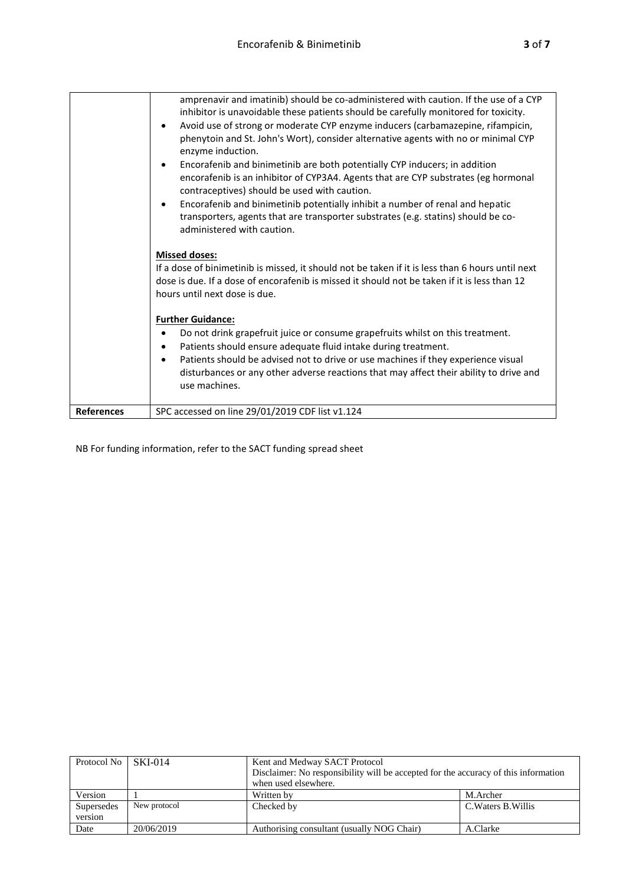|                   | amprenavir and imatinib) should be co-administered with caution. If the use of a CYP<br>inhibitor is unavoidable these patients should be carefully monitored for toxicity.<br>Avoid use of strong or moderate CYP enzyme inducers (carbamazepine, rifampicin,<br>$\bullet$<br>phenytoin and St. John's Wort), consider alternative agents with no or minimal CYP<br>enzyme induction.<br>Encorafenib and binimetinib are both potentially CYP inducers; in addition<br>٠<br>encorafenib is an inhibitor of CYP3A4. Agents that are CYP substrates (eg hormonal<br>contraceptives) should be used with caution.<br>Encorafenib and binimetinib potentially inhibit a number of renal and hepatic<br>$\bullet$<br>transporters, agents that are transporter substrates (e.g. statins) should be co-<br>administered with caution. |
|-------------------|----------------------------------------------------------------------------------------------------------------------------------------------------------------------------------------------------------------------------------------------------------------------------------------------------------------------------------------------------------------------------------------------------------------------------------------------------------------------------------------------------------------------------------------------------------------------------------------------------------------------------------------------------------------------------------------------------------------------------------------------------------------------------------------------------------------------------------|
|                   | <b>Missed doses:</b><br>If a dose of binimetinib is missed, it should not be taken if it is less than 6 hours until next<br>dose is due. If a dose of encorafenib is missed it should not be taken if it is less than 12<br>hours until next dose is due.                                                                                                                                                                                                                                                                                                                                                                                                                                                                                                                                                                        |
|                   | <b>Further Guidance:</b><br>Do not drink grapefruit juice or consume grapefruits whilst on this treatment.<br>Patients should ensure adequate fluid intake during treatment.<br>٠<br>Patients should be advised not to drive or use machines if they experience visual<br>$\bullet$<br>disturbances or any other adverse reactions that may affect their ability to drive and<br>use machines.                                                                                                                                                                                                                                                                                                                                                                                                                                   |
| <b>References</b> | SPC accessed on line 29/01/2019 CDF list v1.124                                                                                                                                                                                                                                                                                                                                                                                                                                                                                                                                                                                                                                                                                                                                                                                  |

NB For funding information, refer to the SACT funding spread sheet

| Protocol No   SKI-014 |              | Kent and Medway SACT Protocol                                                       |                     |
|-----------------------|--------------|-------------------------------------------------------------------------------------|---------------------|
|                       |              | Disclaimer: No responsibility will be accepted for the accuracy of this information |                     |
|                       |              | when used elsewhere.                                                                |                     |
| Version               |              | Written by                                                                          | M.Archer            |
| Supersedes            | New protocol | Checked by                                                                          | C. Waters B. Willis |
| version               |              |                                                                                     |                     |
| Date                  | 20/06/2019   | Authorising consultant (usually NOG Chair)                                          | A.Clarke            |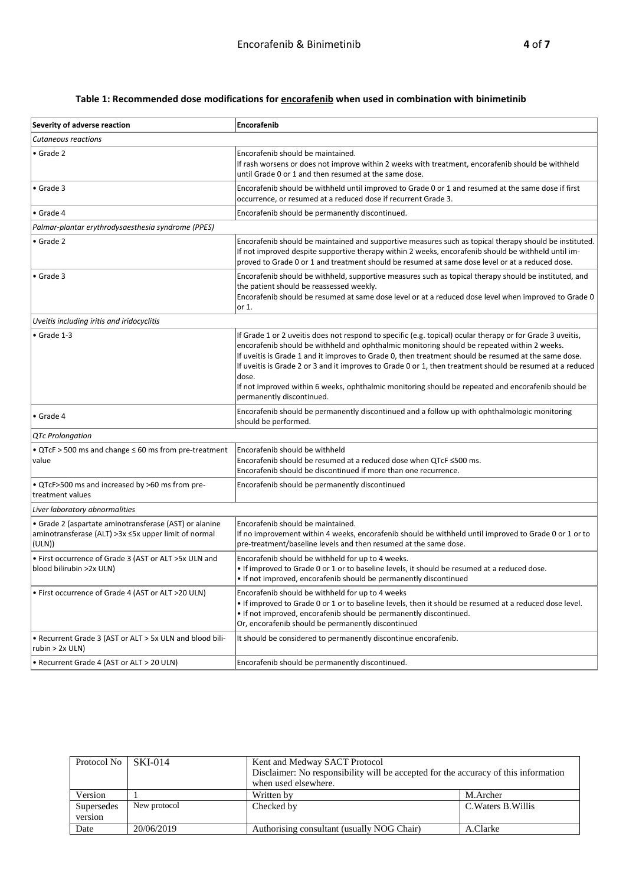## **Table 1: Recommended dose modifications for encorafenib when used in combination with binimetinib**

| Severity of adverse reaction                                                                                            | Encorafenib                                                                                                                                                                                                                                                                                                                                                                                                                                                                                                                                                                |
|-------------------------------------------------------------------------------------------------------------------------|----------------------------------------------------------------------------------------------------------------------------------------------------------------------------------------------------------------------------------------------------------------------------------------------------------------------------------------------------------------------------------------------------------------------------------------------------------------------------------------------------------------------------------------------------------------------------|
| <b>Cutaneous reactions</b>                                                                                              |                                                                                                                                                                                                                                                                                                                                                                                                                                                                                                                                                                            |
| $\bullet$ Grade 2                                                                                                       | Encorafenib should be maintained.<br>If rash worsens or does not improve within 2 weeks with treatment, encorafenib should be withheld<br>until Grade 0 or 1 and then resumed at the same dose.                                                                                                                                                                                                                                                                                                                                                                            |
| $\bullet$ Grade 3                                                                                                       | Encorafenib should be withheld until improved to Grade 0 or 1 and resumed at the same dose if first<br>occurrence, or resumed at a reduced dose if recurrent Grade 3.                                                                                                                                                                                                                                                                                                                                                                                                      |
| $\bullet$ Grade 4                                                                                                       | Encorafenib should be permanently discontinued.                                                                                                                                                                                                                                                                                                                                                                                                                                                                                                                            |
| Palmar-plantar erythrodysaesthesia syndrome (PPES)                                                                      |                                                                                                                                                                                                                                                                                                                                                                                                                                                                                                                                                                            |
| $\bullet$ Grade 2                                                                                                       | Encorafenib should be maintained and supportive measures such as topical therapy should be instituted.<br>If not improved despite supportive therapy within 2 weeks, encorafenib should be withheld until im-<br>proved to Grade 0 or 1 and treatment should be resumed at same dose level or at a reduced dose.                                                                                                                                                                                                                                                           |
| $\bullet$ Grade 3                                                                                                       | Encorafenib should be withheld, supportive measures such as topical therapy should be instituted, and<br>the patient should be reassessed weekly.<br>Encorafenib should be resumed at same dose level or at a reduced dose level when improved to Grade 0<br>or 1.                                                                                                                                                                                                                                                                                                         |
| Uveitis including iritis and iridocyclitis                                                                              |                                                                                                                                                                                                                                                                                                                                                                                                                                                                                                                                                                            |
| $\bullet$ Grade 1-3                                                                                                     | If Grade 1 or 2 uveitis does not respond to specific (e.g. topical) ocular therapy or for Grade 3 uveitis,<br>encorafenib should be withheld and ophthalmic monitoring should be repeated within 2 weeks.<br>If uveitis is Grade 1 and it improves to Grade 0, then treatment should be resumed at the same dose.<br>If uveitis is Grade 2 or 3 and it improves to Grade 0 or 1, then treatment should be resumed at a reduced<br>dose.<br>If not improved within 6 weeks, ophthalmic monitoring should be repeated and encorafenib should be<br>permanently discontinued. |
| $\bullet$ Grade 4                                                                                                       | Encorafenib should be permanently discontinued and a follow up with ophthalmologic monitoring<br>should be performed.                                                                                                                                                                                                                                                                                                                                                                                                                                                      |
| <b>QTc Prolongation</b>                                                                                                 |                                                                                                                                                                                                                                                                                                                                                                                                                                                                                                                                                                            |
| • QTcF > 500 ms and change ≤ 60 ms from pre-treatment<br>value                                                          | Encorafenib should be withheld<br>Encorafenib should be resumed at a reduced dose when QTcF ≤500 ms.<br>Encorafenib should be discontinued if more than one recurrence.                                                                                                                                                                                                                                                                                                                                                                                                    |
| • QTcF>500 ms and increased by >60 ms from pre-<br>treatment values                                                     | Encorafenib should be permanently discontinued                                                                                                                                                                                                                                                                                                                                                                                                                                                                                                                             |
| Liver laboratory abnormalities                                                                                          |                                                                                                                                                                                                                                                                                                                                                                                                                                                                                                                                                                            |
| • Grade 2 (aspartate aminotransferase (AST) or alanine<br>aminotransferase (ALT) >3x ≤5x upper limit of normal<br>(ULN) | Encorafenib should be maintained.<br>If no improvement within 4 weeks, encorafenib should be withheld until improved to Grade 0 or 1 or to<br>pre-treatment/baseline levels and then resumed at the same dose.                                                                                                                                                                                                                                                                                                                                                             |
| • First occurrence of Grade 3 (AST or ALT >5x ULN and<br>blood bilirubin >2x ULN)                                       | Encorafenib should be withheld for up to 4 weeks.<br>. If improved to Grade 0 or 1 or to baseline levels, it should be resumed at a reduced dose.<br>. If not improved, encorafenib should be permanently discontinued                                                                                                                                                                                                                                                                                                                                                     |
| • First occurrence of Grade 4 (AST or ALT >20 ULN)                                                                      | Encorafenib should be withheld for up to 4 weeks<br>. If improved to Grade 0 or 1 or to baseline levels, then it should be resumed at a reduced dose level.<br>. If not improved, encorafenib should be permanently discontinued.<br>Or, encorafenib should be permanently discontinued                                                                                                                                                                                                                                                                                    |
| • Recurrent Grade 3 (AST or ALT > 5x ULN and blood bili-<br>rubin > 2x ULN)                                             | It should be considered to permanently discontinue encorafenib.                                                                                                                                                                                                                                                                                                                                                                                                                                                                                                            |
| • Recurrent Grade 4 (AST or ALT > 20 ULN)                                                                               | Encorafenib should be permanently discontinued.                                                                                                                                                                                                                                                                                                                                                                                                                                                                                                                            |

| Protocol No | $SKI-014$    | Kent and Medway SACT Protocol<br>Disclaimer: No responsibility will be accepted for the accuracy of this information<br>when used elsewhere. |                     |
|-------------|--------------|----------------------------------------------------------------------------------------------------------------------------------------------|---------------------|
| Version     |              | Written by                                                                                                                                   | M.Archer            |
| Supersedes  | New protocol | Checked by                                                                                                                                   | C. Waters B. Willis |
| version     |              |                                                                                                                                              |                     |
| Date        | 20/06/2019   | Authorising consultant (usually NOG Chair)                                                                                                   | A.Clarke            |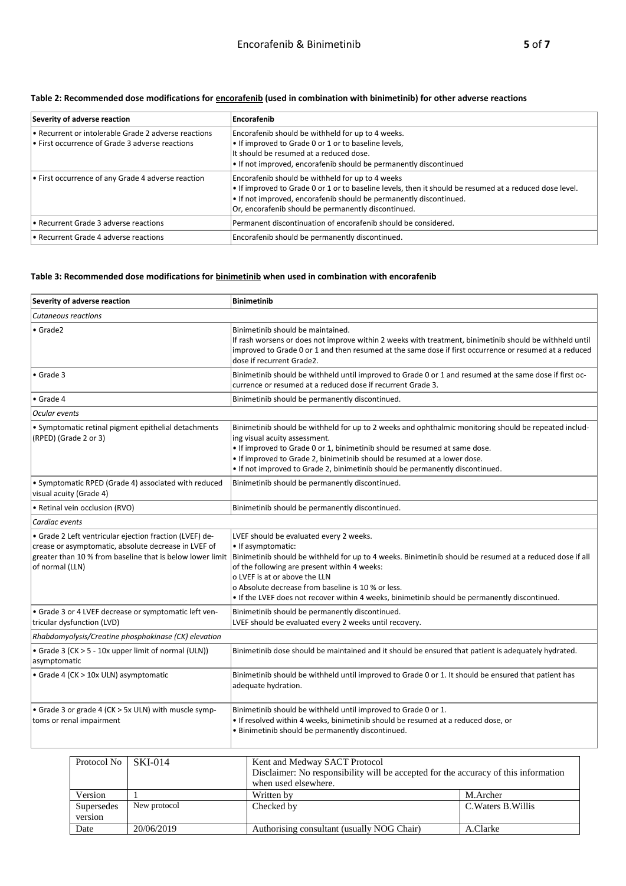| Severity of adverse reaction                                                                                        | Encorafenib                                                                                                                                                                                                                                                                                    |
|---------------------------------------------------------------------------------------------------------------------|------------------------------------------------------------------------------------------------------------------------------------------------------------------------------------------------------------------------------------------------------------------------------------------------|
| $\cdot$ Recurrent or intolerable Grade 2 adverse reactions<br>$\cdot$ First occurrence of Grade 3 adverse reactions | Encorafenib should be withheld for up to 4 weeks.<br>. If improved to Grade 0 or 1 or to baseline levels,<br>It should be resumed at a reduced dose.<br>. If not improved, encorafenib should be permanently discontinued                                                                      |
| $\cdot$ First occurrence of any Grade 4 adverse reaction                                                            | Encorafenib should be withheld for up to 4 weeks<br>. If improved to Grade 0 or 1 or to baseline levels, then it should be resumed at a reduced dose level.<br>$\cdot$ If not improved, encorafenib should be permanently discontinued.<br>Or, encorafenib should be permanently discontinued. |
| l. Recurrent Grade 3 adverse reactions                                                                              | Permanent discontinuation of encorafenib should be considered.                                                                                                                                                                                                                                 |
| l. Recurrent Grade 4 adverse reactions                                                                              | Encorafenib should be permanently discontinued.                                                                                                                                                                                                                                                |

### **Table 2: Recommended dose modifications for encorafenib (used in combination with binimetinib) for other adverse reactions**

### **Table 3: Recommended dose modifications for binimetinib when used in combination with encorafenib**

| Severity of adverse reaction                                                                                                                                                                    | <b>Binimetinib</b>                                                                                                                                                                                                                                                                                                                                                                                                 |
|-------------------------------------------------------------------------------------------------------------------------------------------------------------------------------------------------|--------------------------------------------------------------------------------------------------------------------------------------------------------------------------------------------------------------------------------------------------------------------------------------------------------------------------------------------------------------------------------------------------------------------|
| Cutaneous reactions                                                                                                                                                                             |                                                                                                                                                                                                                                                                                                                                                                                                                    |
| $\bullet$ Grade2                                                                                                                                                                                | Binimetinib should be maintained.<br>If rash worsens or does not improve within 2 weeks with treatment, binimetinib should be withheld until<br>improved to Grade 0 or 1 and then resumed at the same dose if first occurrence or resumed at a reduced<br>dose if recurrent Grade2.                                                                                                                                |
| $\bullet$ Grade 3                                                                                                                                                                               | Binimetinib should be withheld until improved to Grade 0 or 1 and resumed at the same dose if first oc-<br>currence or resumed at a reduced dose if recurrent Grade 3.                                                                                                                                                                                                                                             |
| • Grade 4                                                                                                                                                                                       | Binimetinib should be permanently discontinued.                                                                                                                                                                                                                                                                                                                                                                    |
| Ocular events                                                                                                                                                                                   |                                                                                                                                                                                                                                                                                                                                                                                                                    |
| • Symptomatic retinal pigment epithelial detachments<br>(RPED) (Grade 2 or 3)                                                                                                                   | Binimetinib should be withheld for up to 2 weeks and ophthalmic monitoring should be repeated includ-<br>ing visual acuity assessment.<br>. If improved to Grade 0 or 1, binimetinib should be resumed at same dose.<br>. If improved to Grade 2, binimetinib should be resumed at a lower dose.<br>. If not improved to Grade 2, binimetinib should be permanently discontinued.                                  |
| • Symptomatic RPED (Grade 4) associated with reduced<br>visual acuity (Grade 4)                                                                                                                 | Binimetinib should be permanently discontinued.                                                                                                                                                                                                                                                                                                                                                                    |
| • Retinal vein occlusion (RVO)                                                                                                                                                                  | Binimetinib should be permanently discontinued.                                                                                                                                                                                                                                                                                                                                                                    |
| Cardiac events                                                                                                                                                                                  |                                                                                                                                                                                                                                                                                                                                                                                                                    |
| · Grade 2 Left ventricular ejection fraction (LVEF) de-<br>crease or asymptomatic, absolute decrease in LVEF of<br>greater than 10 % from baseline that is below lower limit<br>of normal (LLN) | LVEF should be evaluated every 2 weeks.<br>• If asymptomatic:<br>Binimetinib should be withheld for up to 4 weeks. Binimetinib should be resumed at a reduced dose if all<br>of the following are present within 4 weeks:<br>o LVEF is at or above the LLN<br>o Absolute decrease from baseline is 10 % or less.<br>• If the LVEF does not recover within 4 weeks, binimetinib should be permanently discontinued. |
| · Grade 3 or 4 LVEF decrease or symptomatic left ven-<br>tricular dysfunction (LVD)                                                                                                             | Binimetinib should be permanently discontinued.<br>LVEF should be evaluated every 2 weeks until recovery.                                                                                                                                                                                                                                                                                                          |
| Rhabdomyolysis/Creatine phosphokinase (CK) elevation                                                                                                                                            |                                                                                                                                                                                                                                                                                                                                                                                                                    |
| • Grade 3 (CK > 5 - 10x upper limit of normal (ULN))<br>asymptomatic                                                                                                                            | Binimetinib dose should be maintained and it should be ensured that patient is adequately hydrated.                                                                                                                                                                                                                                                                                                                |
| • Grade 4 (CK > 10x ULN) asymptomatic                                                                                                                                                           | Binimetinib should be withheld until improved to Grade 0 or 1. It should be ensured that patient has<br>adequate hydration.                                                                                                                                                                                                                                                                                        |
| • Grade 3 or grade 4 (CK > 5x ULN) with muscle symp-<br>toms or renal impairment                                                                                                                | Binimetinib should be withheld until improved to Grade 0 or 1.<br>. If resolved within 4 weeks, binimetinib should be resumed at a reduced dose, or<br>. Binimetinib should be permanently discontinued.                                                                                                                                                                                                           |

| Protocol No   SKI-014 |              | Kent and Medway SACT Protocol<br>Disclaimer: No responsibility will be accepted for the accuracy of this information<br>when used elsewhere. |                     |
|-----------------------|--------------|----------------------------------------------------------------------------------------------------------------------------------------------|---------------------|
| Version               |              | Written by                                                                                                                                   | M.Archer            |
| Supersedes<br>version | New protocol | Checked by                                                                                                                                   | C. Waters B. Willis |
| Date                  | 20/06/2019   | Authorising consultant (usually NOG Chair)                                                                                                   | A.Clarke            |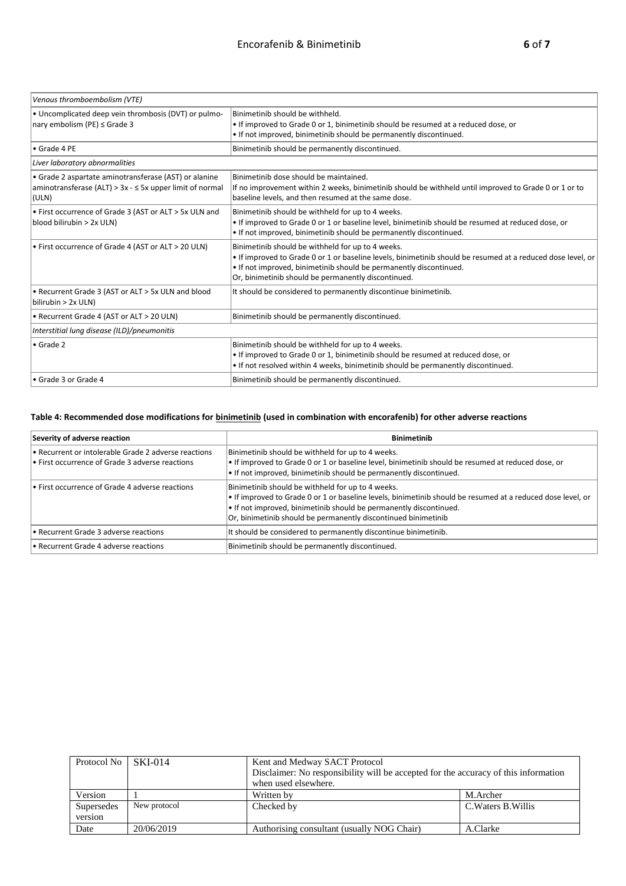| Venous thromboembolism (VTE)                                                                                               |                                                                                                                                                                                                                                                                                               |
|----------------------------------------------------------------------------------------------------------------------------|-----------------------------------------------------------------------------------------------------------------------------------------------------------------------------------------------------------------------------------------------------------------------------------------------|
| • Uncomplicated deep vein thrombosis (DVT) or pulmo-<br>nary embolism (PE) $\leq$ Grade 3                                  | Binimetinib should be withheld.<br>. If improved to Grade 0 or 1, binimetinib should be resumed at a reduced dose, or<br>. If not improved, binimetinib should be permanently discontinued.                                                                                                   |
| • Grade 4 PE                                                                                                               | Binimetinib should be permanently discontinued.                                                                                                                                                                                                                                               |
| Liver laboratory abnormalities                                                                                             |                                                                                                                                                                                                                                                                                               |
| • Grade 2 aspartate aminotransferase (AST) or alanine<br>aminotransferase (ALT) > $3x - 5x$ upper limit of normal<br>(ULN) | Binimetinib dose should be maintained.<br>If no improvement within 2 weeks, binimetinib should be withheld until improved to Grade 0 or 1 or to<br>baseline levels, and then resumed at the same dose.                                                                                        |
| • First occurrence of Grade 3 (AST or ALT > 5x ULN and<br>blood bilirubin > 2x ULN)                                        | Binimetinib should be withheld for up to 4 weeks.<br>. If improved to Grade 0 or 1 or baseline level, binimetinib should be resumed at reduced dose, or<br>. If not improved, binimetinib should be permanently discontinued.                                                                 |
| • First occurrence of Grade 4 (AST or ALT > 20 ULN)                                                                        | Binimetinib should be withheld for up to 4 weeks.<br>. If improved to Grade 0 or 1 or baseline levels, binimetinib should be resumed at a reduced dose level, or<br>. If not improved, binimetinib should be permanently discontinued.<br>Or, binimetinib should be permanently discontinued. |
| • Recurrent Grade 3 (AST or ALT > 5x ULN and blood<br>bilirubin > 2x ULN)                                                  | It should be considered to permanently discontinue binimetinib.                                                                                                                                                                                                                               |
| • Recurrent Grade 4 (AST or ALT > 20 ULN)                                                                                  | Binimetinib should be permanently discontinued.                                                                                                                                                                                                                                               |
| Interstitial lung disease (ILD)/pneumonitis                                                                                |                                                                                                                                                                                                                                                                                               |
| $\bullet$ Grade 2                                                                                                          | Binimetinib should be withheld for up to 4 weeks.<br>. If improved to Grade 0 or 1, binimetinib should be resumed at reduced dose, or<br>. If not resolved within 4 weeks, binimetinib should be permanently discontinued.                                                                    |
| • Grade 3 or Grade 4                                                                                                       | Binimetinib should be permanently discontinued.                                                                                                                                                                                                                                               |

### **Table 4: Recommended dose modifications for binimetinib (used in combination with encorafenib) for other adverse reactions**

| Severity of adverse reaction                                                                        | <b>Binimetinib</b>                                                                                                                                                                                                                                                                                       |
|-----------------------------------------------------------------------------------------------------|----------------------------------------------------------------------------------------------------------------------------------------------------------------------------------------------------------------------------------------------------------------------------------------------------------|
| Recurrent or intolerable Grade 2 adverse reactions<br>First occurrence of Grade 3 adverse reactions | Binimetinib should be withheld for up to 4 weeks.<br>. If improved to Grade 0 or 1 or baseline level, binimetinib should be resumed at reduced dose, or<br>• If not improved, binimetinib should be permanently discontinued.                                                                            |
| First occurrence of Grade 4 adverse reactions                                                       | Binimetinib should be withheld for up to 4 weeks.<br>. If improved to Grade 0 or 1 or baseline levels, binimetinib should be resumed at a reduced dose level, or<br>• If not improved, binimetinib should be permanently discontinued.<br>Or, binimetinib should be permanently discontinued binimetinib |
| Recurrent Grade 3 adverse reactions                                                                 | It should be considered to permanently discontinue binimetinib.                                                                                                                                                                                                                                          |
| Recurrent Grade 4 adverse reactions                                                                 | Binimetinib should be permanently discontinued.                                                                                                                                                                                                                                                          |

| Protocol No           | $SKI-014$    | Kent and Medway SACT Protocol<br>Disclaimer: No responsibility will be accepted for the accuracy of this information<br>when used elsewhere. |                     |  |
|-----------------------|--------------|----------------------------------------------------------------------------------------------------------------------------------------------|---------------------|--|
| Version               |              | Written by                                                                                                                                   | M.Archer            |  |
| Supersedes<br>version | New protocol | Checked by                                                                                                                                   | C. Waters B. Willis |  |
| Date                  | 20/06/2019   | Authorising consultant (usually NOG Chair)                                                                                                   | A.Clarke            |  |